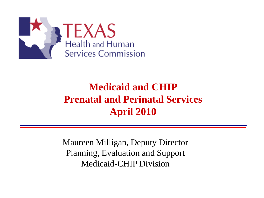

### **Medicaid and CHIP Prenatal and Perinatal Services April 2010**

Maureen Milligan, Deputy Director Planning, Evaluation and Support Medicaid-CHIP Division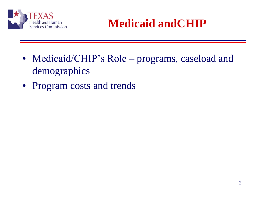

# **Medicaid andCHIP**

- Medicaid/CHIP's Role programs, caseload and demographics
- Program costs and trends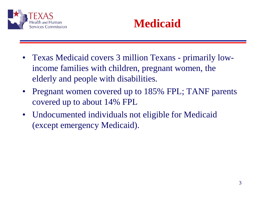



- Texas Medicaid covers 3 million Texans primarily lowincome families with children, pregnant women, the elderly and people with disabilities.
- Pregnant women covered up to 185% FPL; TANF parents covered up to about 14% FPL
- Undocumented individuals not eligible for Medicaid (except emergency Medicaid).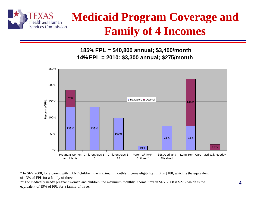

# **Medicaid Program Coverage and Family of 4 Incomes**

 **185% FPL = \$40,800 annual; \$3,400/month 14% FPL = 2010: \$3,300 annual; \$275/month**



\* In SFY 2008, for a parent with TANF children, the maximum monthly income eligibility limit is \$188, which is the equivalent of 13% of FPL for a family of three.

\*\* For medically needy pregnant women and children, the maximum monthly income limit in SFY 2008 is \$275, which is the equivalent of 19% of FPL for a family of three.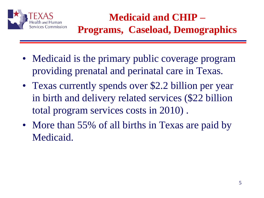

### **Medicaid and CHIP – Programs, Caseload, Demographics**

- Medicaid is the primary public coverage program providing prenatal and perinatal care in Texas.
- Texas currently spends over \$2.2 billion per year in birth and delivery related services (\$22 billion total program services costs in 2010) .
- More than 55% of all births in Texas are paid by Medicaid.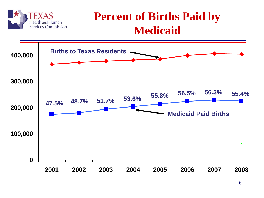

### **Percent of Births Paid by Medicaid**

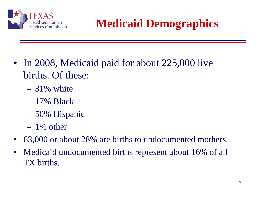

**Medicaid Demographics**

- In 2008, Medicaid paid for about 225,000 live births. Of these:
	- $-31\%$  white
	- 17% Black
	- 50% Hispanic
	- $-1\%$  other
- 63,000 or about 28% are births to undocumented mothers.
- Medicaid undocumented births represent about 16% of all TX births.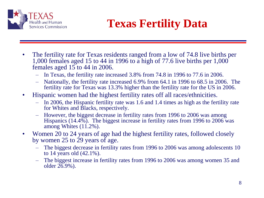

# **Texas Fertility Data**

- The fertility rate for Texas residents ranged from a low of 74.8 live births per 1,000 females aged 15 to 44 in 1996 to a high of 77.6 live births per 1,000 females aged 15 to 44 in 2006.
	- In Texas, the fertility rate increased 3.8% from 74.8 in 1996 to 77.6 in 2006.
	- Nationally, the fertility rate increased 6.9% from 64.1 in 1996 to 68.5 in 2006. The fertility rate for Texas was 13.3% higher than the fertility rate for the US in 2006.
- Hispanic women had the highest fertility rates off all races/ethnicities.
	- In 2006, the Hispanic fertility rate was 1.6 and 1.4 times as high as the fertility rate for Whites and Blacks, respectively.
	- However, the biggest decrease in fertility rates from 1996 to 2006 was among Hispanics (14.4%). The biggest increase in fertility rates from 1996 to 2006 was among Whites (11.2%).
- Women 20 to 24 years of age had the highest fertility rates, followed closely by women 25 to 29 years of age.
	- The biggest decrease in fertility rates from 1996 to 2006 was among adolescents 10 to 14 years old (42.1%).
	- The biggest increase in fertility rates from 1996 to 2006 was among women 35 and older 26.9%).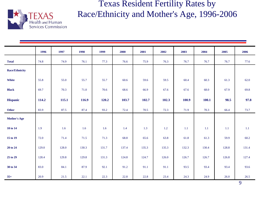

Texas Resident Fertility Rates by Race/Ethnicity and Mother's Age, 1996-2006

|                       | 1996  | 1997  | 1998  | 1999  | 2000  | 2001  | 2002    | 2003  | 2004    | 2005    | 2006    |
|-----------------------|-------|-------|-------|-------|-------|-------|---------|-------|---------|---------|---------|
| <b>Total</b>          | 74.8  | 74.9  | 76.1  | 77.3  | 76.6  | 75.9  | 76.3    | 76.7  | 76.7    | 76.7    | 77.6    |
| <b>Race/Ethnicity</b> |       |       |       |       |       |       |         |       |         |         |         |
| White                 | 55.8  | 55.0  | 55.7  | 55.7  | 60.6  | 59.6  | 59.5    | 60.4  | 60.3    | 61.3    | 62.0    |
| <b>Black</b>          | 69.7  | 70.3  | 71.0  | 70.6  | 68.6  | 66.9  | 67.6    | 67.6  | 68.0    | 67.9    | 69.8    |
| <b>Hispanic</b>       | 114.2 | 115.1 | 116.9 | 120.2 | 103.7 | 102.7 | 102.3   | 100.9 | 100.1   | 98.5    | 97.8    |
|                       |       |       |       |       |       |       |         |       |         |         |         |
| Other                 | 83.9  | 87.5  | 87.4  | 93.2  | 72.4  | 70.5  | 72.3    | 71.9  | 70.3    | 66.4    | 73.7    |
| <b>Mother's Age</b>   |       |       |       |       |       |       |         |       |         |         |         |
| 10 to 14              | 1.9   | 1.6   | 1.6   | 1.6   | 1.4   | 1.3   | $1.2\,$ | 1.1   | $1.1\,$ | $1.1\,$ | $1.1\,$ |
| 15 to 19              | 72.0  | 71.4  | 71.5  | 71.3  | 68.8  | 65.6  | 63.8    | 61.8  | 61.3    | 59.9    | 60.2    |
| 20 to 24              | 129.0 | 128.0 | 130.3 | 131.7 | 137.4 | 135.3 | 135.3   | 132.3 | 130.4   | 128.8   | 131.4   |
| 25 to 29              | 128.4 | 129.8 | 129.8 | 131.3 | 124.8 | 124.7 | 126.0   | 126.7 | 126.7   | 126.8   | 127.4   |
|                       |       |       |       |       |       |       |         |       |         |         |         |
| 30 to 34              | 83.0  | 84.1  | 87.9  | 92.1  | 91.2  | 91.1  | 91.1    | 93.5  | 93.4    | 93.4    | 93.6    |
| $35+$                 | 20.9  | 21.5  | 22.1  | 22.3  | 22.8  | 22.8  | 23.4    | 24.3  | 24.9    | 26.0    | 26.5    |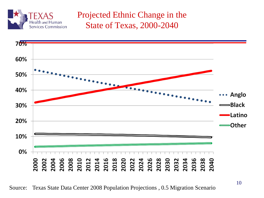

### Projected Ethnic Change in the State of Texas, 2000-2040

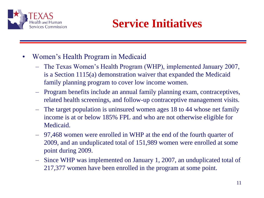

## **Service Initiatives**

- Women's Health Program in Medicaid
	- The Texas Women's Health Program (WHP), implemented January 2007, is a Section 1115(a) demonstration waiver that expanded the Medicaid family planning program to cover low income women.
	- Program benefits include an annual family planning exam, contraceptives, related health screenings, and follow-up contraceptive management visits.
	- The target population is uninsured women ages 18 to 44 whose net family income is at or below 185% FPL and who are not otherwise eligible for Medicaid.
	- 97,468 women were enrolled in WHP at the end of the fourth quarter of 2009, and an unduplicated total of 151,989 women were enrolled at some point during 2009.
	- Since WHP was implemented on January 1, 2007, an unduplicated total of 217,377 women have been enrolled in the program at some point.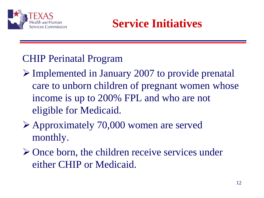

### **Service Initiatives**

### CHIP Perinatal Program

- Implemented in January 2007 to provide prenatal care to unborn children of pregnant women whose income is up to 200% FPL and who are not eligible for Medicaid.
- Approximately 70,000 women are served monthly.
- $\triangleright$  Once born, the children receive services under either CHIP or Medicaid.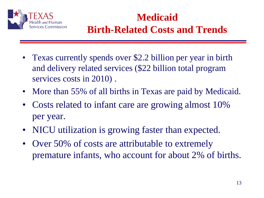

### **Medicaid Birth-Related Costs and Trends**

- Texas currently spends over \$2.2 billion per year in birth and delivery related services (\$22 billion total program services costs in 2010) .
- More than 55% of all births in Texas are paid by Medicaid.
- Costs related to infant care are growing almost 10% per year.
- NICU utilization is growing faster than expected.
- Over 50% of costs are attributable to extremely premature infants, who account for about 2% of births.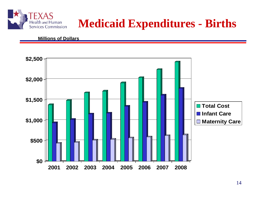

### **Medicaid Expenditures - Births**

#### **Millions of Dollars**

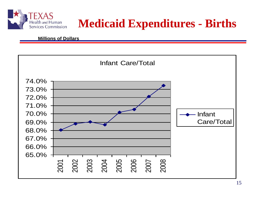

# **Medicaid Expenditures - Births**

#### **Millions of Dollars**

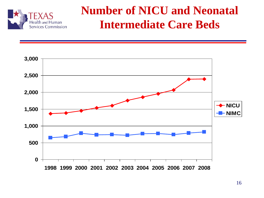

### **Number of NICU and Neonatal Intermediate Care Beds**

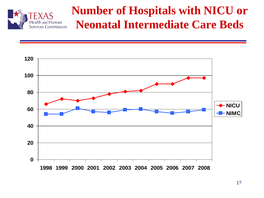

### **Number of Hospitals with NICU or Neonatal Intermediate Care Beds**

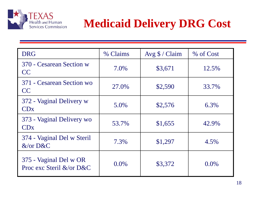

# **Medicaid Delivery DRG Cost**

| <b>DRG</b>                                         | % Claims | Avg $\sqrt{$}$ / Claim | % of Cost |
|----------------------------------------------------|----------|------------------------|-----------|
| 370 - Cesarean Section w<br>CC                     | 7.0%     | \$3,671                | 12.5%     |
| 371 - Cesarean Section wo<br>CC                    | 27.0%    | \$2,590                | 33.7%     |
| 372 - Vaginal Delivery w<br>CDx                    | 5.0%     | \$2,576                | 6.3%      |
| 373 - Vaginal Delivery wo<br>CDx                   | 53.7%    | \$1,655                | 42.9%     |
| 374 - Vaginal Del w Steril<br>$&\text{/or }D\&C$   | 7.3%     | \$1,297                | 4.5%      |
| 375 - Vaginal Del w OR<br>Proc exc Steril &/or D&C | $0.0\%$  | \$3,372                | $0.0\%$   |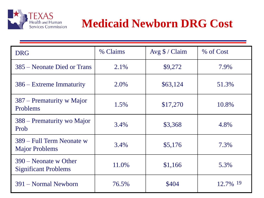

# **Medicaid Newborn DRG Cost**

| <b>DRG</b>                                             | % Claims | Avg $\sqrt{$}$ / Claim | % of Cost |
|--------------------------------------------------------|----------|------------------------|-----------|
| 385 – Neonate Died or Trans                            | 2.1%     | \$9,272                | 7.9%      |
| 386 – Extreme Immaturity                               | 2.0%     | \$63,124               | 51.3%     |
| 387 – Prematurity w Major<br>Problems                  | 1.5%     | \$17,270               | 10.8%     |
| 388 – Prematurity wo Major<br>Prob                     | 3.4%     | \$3,368                | 4.8%      |
| 389 – Full Term Neonate w<br><b>Major Problems</b>     | 3.4%     | \$5,176                | 7.3%      |
| $390$ – Neonate w Other<br><b>Significant Problems</b> | 11.0%    | \$1,166                | 5.3%      |
| 391 – Normal Newborn                                   | 76.5%    | \$404                  | 12.7% 19  |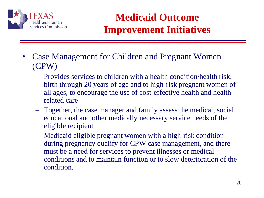

### **Medicaid Outcome Improvement Initiatives**

- Case Management for Children and Pregnant Women (CPW)
	- Provides services to children with a health condition/health risk, birth through 20 years of age and to high-risk pregnant women of all ages, to encourage the use of cost-effective health and healthrelated care
	- Together, the case manager and family assess the medical, social, educational and other medically necessary service needs of the eligible recipient
	- Medicaid eligible pregnant women with a high-risk condition during pregnancy qualify for CPW case management, and there must be a need for services to prevent illnesses or medical conditions and to maintain function or to slow deterioration of the condition.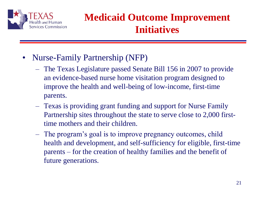

### **Medicaid Outcome Improvement Initiatives**

- Nurse-Family Partnership (NFP)
	- The Texas Legislature passed Senate Bill 156 in 2007 to provide an evidence-based nurse home visitation program designed to improve the health and well-being of low-income, first-time parents.
	- Texas is providing grant funding and support for Nurse Family Partnership sites throughout the state to serve close to 2,000 firsttime mothers and their children.
	- The program's goal is to improve pregnancy outcomes, child health and development, and self-sufficiency for eligible, first-time parents – for the creation of healthy families and the benefit of future generations.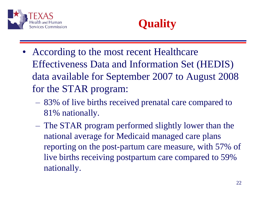



- According to the most recent Healthcare Effectiveness Data and Information Set (HEDIS) data available for September 2007 to August 2008 for the STAR program:
	- 83% of live births received prenatal care compared to 81% nationally.
	- The STAR program performed slightly lower than the national average for Medicaid managed care plans reporting on the post-partum care measure, with 57% of live births receiving postpartum care compared to 59% nationally.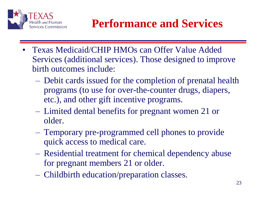

# **Performance and Services**

- Texas Medicaid/CHIP HMOs can Offer Value Added Services (additional services). Those designed to improve birth outcomes include:
	- Debit cards issued for the completion of prenatal health programs (to use for over-the-counter drugs, diapers, etc.), and other gift incentive programs.
	- Limited dental benefits for pregnant women 21 or older.
	- Temporary pre-programmed cell phones to provide quick access to medical care.
	- Residential treatment for chemical dependency abuse for pregnant members 21 or older.
	- Childbirth education/preparation classes.